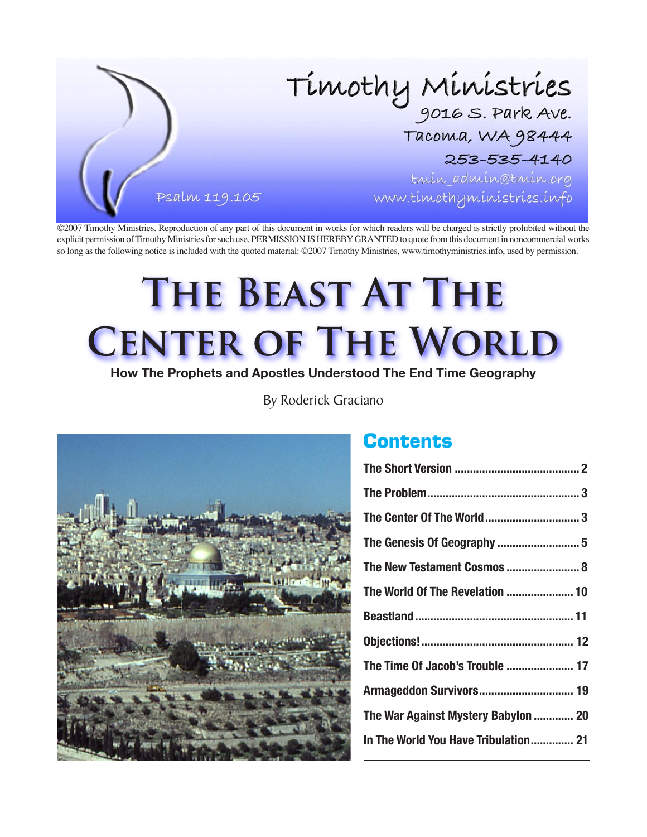

©2007 Timothy Ministries. Reproduction of any part of this document in works for which readers will be charged is strictly prohibited without the explicit permission of Timothy Ministries for such use. PERMISSION IS HEREBY GRANTED to quote from this document in noncommercial works so long as the following notice is included with the quoted material: ©2007 Timothy Ministries, www.timothyministries.info, used by permission.

# **The Beast At The CENTER OF THE WORLD**

**How The Prophets and Apostles Understood The End Time Geography**

By Roderick Graciano



## **Contents**

| The Center Of The World 3            |
|--------------------------------------|
|                                      |
| The New Testament Cosmos  8          |
| The World Of The Revelation  10      |
|                                      |
|                                      |
|                                      |
| The Time Of Jacob's Trouble  17      |
|                                      |
| The War Against Mystery Babylon  20  |
| In The World You Have Tribulation 21 |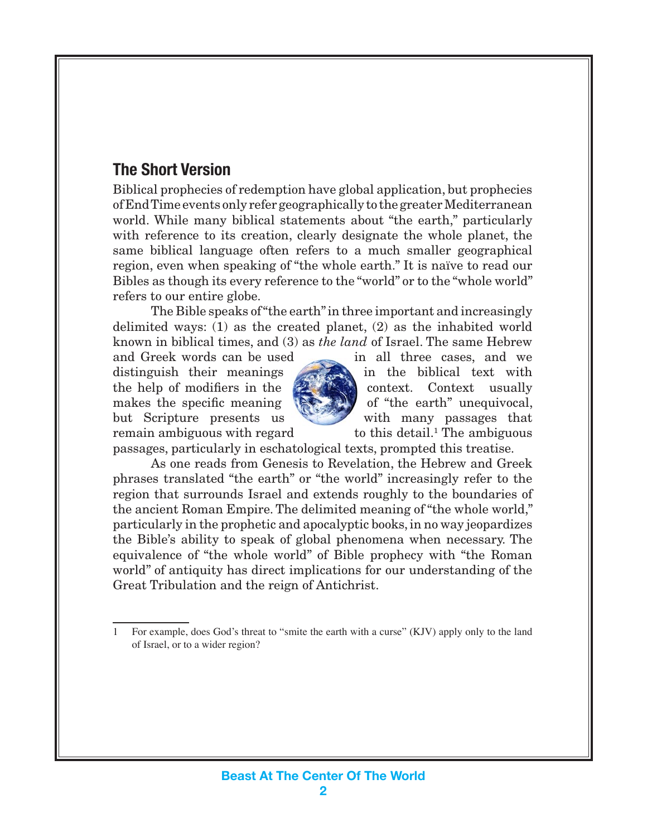## <span id="page-1-0"></span>**The Short Version**

Biblical prophecies of redemption have global application, but prophecies of End Time events only refer geographically to the greater Mediterranean world. While many biblical statements about "the earth," particularly with reference to its creation, clearly designate the whole planet, the same biblical language often refers to a much smaller geographical region, even when speaking of "the whole earth." It is naïve to read our Bibles as though its every reference to the "world" or to the "whole world" refers to our entire globe.

The Bible speaks of "the earth" in three important and increasingly delimited ways: (1) as the created planet, (2) as the inhabited world known in biblical times, and (3) as *the land* of Israel. The same Hebrew

and Greek words can be used in all three cases, and we remain ambiguous with regard.



distinguish their meanings in the biblical text with the help of modifiers in the **context.** Context usually makes the specific meaning  $\langle \rangle$  of "the earth" unequivocal, but Scripture presents us with many passages that to this detail.<sup>1</sup> The ambiguous

passages, particularly in eschatological texts, prompted this treatise.

As one reads from Genesis to Revelation, the Hebrew and Greek phrases translated "the earth" or "the world" increasingly refer to the region that surrounds Israel and extends roughly to the boundaries of the ancient Roman Empire. The delimited meaning of "the whole world," particularly in the prophetic and apocalyptic books, in no way jeopardizes the Bible's ability to speak of global phenomena when necessary. The equivalence of "the whole world" of Bible prophecy with "the Roman world" of antiquity has direct implications for our understanding of the Great Tribulation and the reign of Antichrist.

For example, does God's threat to "smite the earth with a curse" (KJV) apply only to the land of Israel, or to a wider region?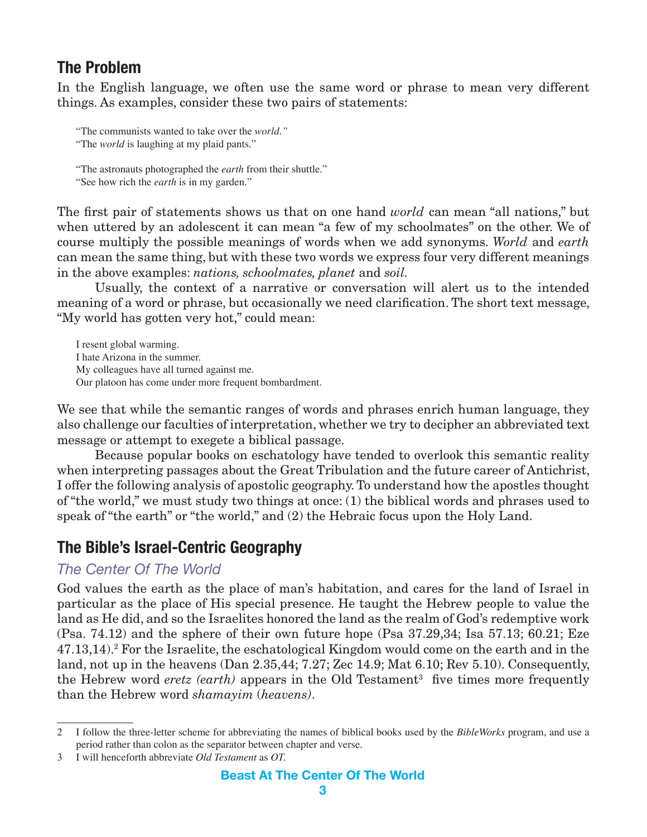## <span id="page-2-0"></span>**The Problem**

In the English language, we often use the same word or phrase to mean very different things. As examples, consider these two pairs of statements:

"The communists wanted to take over the *world."*

"The *world* is laughing at my plaid pants."

"The astronauts photographed the *earth* from their shuttle." "See how rich the *earth* is in my garden."

The first pair of statements shows us that on one hand *world* can mean "all nations," but when uttered by an adolescent it can mean "a few of my schoolmates" on the other. We of course multiply the possible meanings of words when we add synonyms. *World* and *earth* can mean the same thing, but with these two words we express four very different meanings in the above examples: *nations, schoolmates, planet* and *soil.*

Usually, the context of a narrative or conversation will alert us to the intended meaning of a word or phrase, but occasionally we need clarification. The short text message, "My world has gotten very hot," could mean:

I resent global warming. I hate Arizona in the summer. My colleagues have all turned against me. Our platoon has come under more frequent bombardment.

We see that while the semantic ranges of words and phrases enrich human language, they also challenge our faculties of interpretation, whether we try to decipher an abbreviated text message or attempt to exegete a biblical passage.

Because popular books on eschatology have tended to overlook this semantic reality when interpreting passages about the Great Tribulation and the future career of Antichrist, I offer the following analysis of apostolic geography. To understand how the apostles thought of "the world," we must study two things at once: (1) the biblical words and phrases used to speak of "the earth" or "the world," and (2) the Hebraic focus upon the Holy Land.

## **The Bible's Israel-Centric Geography**

#### *The Center Of The World*

God values the earth as the place of man's habitation, and cares for the land of Israel in particular as the place of His special presence. He taught the Hebrew people to value the land as He did, and so the Israelites honored the land as the realm of God's redemptive work (Psa. 74.12) and the sphere of their own future hope (Psa 37.29,34; Isa 57.13; 60.21; Eze 47.13,14).<sup>2</sup> For the Israelite, the eschatological Kingdom would come on the earth and in the land, not up in the heavens (Dan 2.35,44; 7.27; Zec 14.9; Mat 6.10; Rev 5.10). Consequently, the Hebrew word *eretz* (earth) appears in the Old Testament<sup>3</sup> five times more frequently than the Hebrew word *shamayim* (*heavens)*.

I follow the three-letter scheme for abbreviating the names of biblical books used by the *BibleWorks* program, and use a  $\mathfrak{D}$ period rather than colon as the separator between chapter and verse.

I will henceforth abbreviate *Old Testament* as *OT.*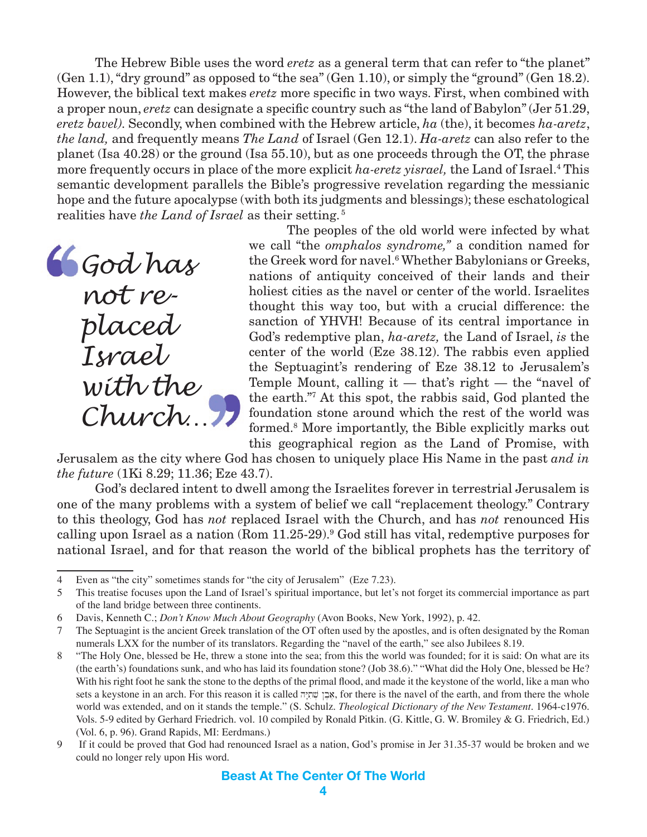The Hebrew Bible uses the word *eretz* as a general term that can refer to "the planet" (Gen 1.1), "dry ground" as opposed to "the sea" (Gen 1.10), or simply the "ground" (Gen 18.2). However, the biblical text makes *eretz* more specific in two ways. First, when combined with a proper noun, *eretz* can designate a specific country such as "the land of Babylon" (Jer 51.29, *eretz bavel).* Secondly, when combined with the Hebrew article, *ha* (the), it becomes *ha-aretz*, *the land,* and frequently means *The Land* of Israel (Gen 12.1). *Ha-aretz* can also refer to the planet (Isa 40.28) or the ground (Isa 55.10), but as one proceeds through the OT, the phrase more frequently occurs in place of the more explicit *ha-eretz yisrael,* the Land of Israel.4 This semantic development parallels the Bible's progressive revelation regarding the messianic hope and the future apocalypse (with both its judgments and blessings); these eschatological realities have *the Land of Israel* as their setting. <sup>5</sup>

*God has not replaced Israel with the Church…*

The peoples of the old world were infected by what we call "the *omphalos syndrome,"* a condition named for the Greek word for navel.<sup>6</sup> Whether Babylonians or Greeks, nations of antiquity conceived of their lands and their holiest cities as the navel or center of the world. Israelites thought this way too, but with a crucial difference: the sanction of YHVH! Because of its central importance in God's redemptive plan, *ha-aretz,* the Land of Israel, *is* the center of the world (Eze 38.12). The rabbis even applied the Septuagint's rendering of Eze 38.12 to Jerusalem's Temple Mount, calling it  $-$  that's right  $-$  the "navel of the earth."7 At this spot, the rabbis said, God planted the foundation stone around which the rest of the world was formed.8 More importantly, the Bible explicitly marks out this geographical region as the Land of Promise, with

Jerusalem as the city where God has chosen to uniquely place His Name in the past *and in the future* (1Ki 8.29; 11.36; Eze 43.7).

God's declared intent to dwell among the Israelites forever in terrestrial Jerusalem is one of the many problems with a system of belief we call "replacement theology." Contrary to this theology, God has *not* replaced Israel with the Church, and has *not* renounced His calling upon Israel as a nation (Rom 11.25-29).<sup>9</sup> God still has vital, redemptive purposes for national Israel, and for that reason the world of the biblical prophets has the territory of

Even as "the city" sometimes stands for "the city of Jerusalem" (Eze 7.23).

This treatise focuses upon the Land of Israel's spiritual importance, but let's not forget its commercial importance as part of the land bridge between three continents.

Davis, Kenneth C.; *Don't Know Much About Geography* (Avon Books, New York, 1992), p. 42.

The Septuagint is the ancient Greek translation of the OT often used by the apostles, and is often designated by the Roman 7 numerals LXX for the number of its translators. Regarding the "navel of the earth," see also Jubilees 8.19.

<sup>&</sup>quot;The Holy One, blessed be He, threw a stone into the sea; from this the world was founded; for it is said: On what are its  $\,$  8  $\,$ (the earth's) foundations sunk, and who has laid its foundation stone? (Job 38.6)." "What did the Holy One, blessed be He? With his right foot he sank the stone to the depths of the primal flood, and made it the keystone of the world, like a man who sets a keystone in an arch. For this reason it is called אבן שׁתְיָה, for there is the navel of the earth, and from there the whole world was extended, and on it stands the temple." (S. Schulz. *Theological Dictionary of the New Testament.* 1964-c1976. Vols. 5-9 edited by Gerhard Friedrich. vol. 10 compiled by Ronald Pitkin. (G. Kittle, G. W. Bromiley & G. Friedrich, Ed.) (Vol. 6, p. 96). Grand Rapids, MI: Eerdmans.)

<sup>9</sup>  If it could be proved that God had renounced Israel as a nation, God's promise in Jer 31.35-37 would be broken and we could no longer rely upon His word.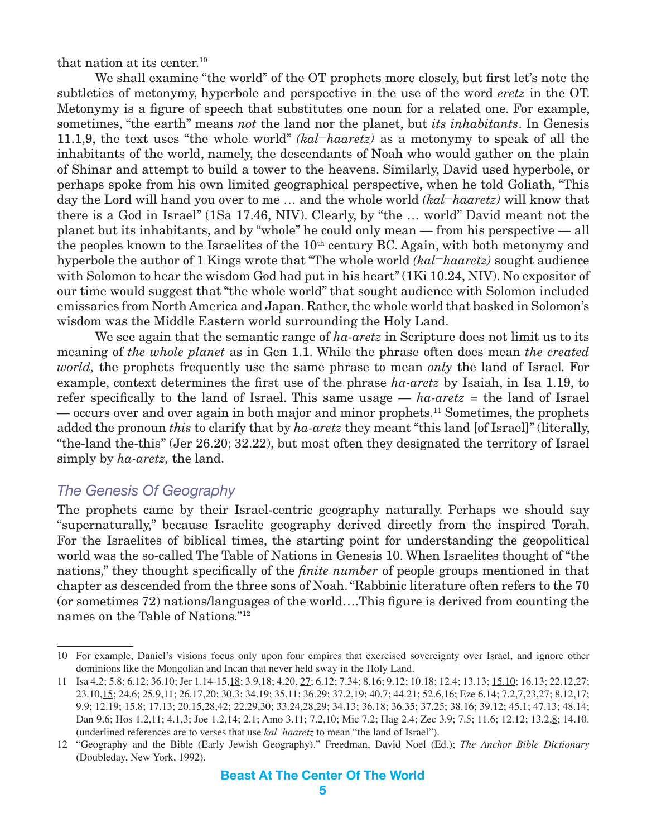<span id="page-4-0"></span>that nation at its center.10

We shall examine "the world" of the OT prophets more closely, but first let's note the subtleties of metonymy, hyperbole and perspective in the use of the word *eretz* in the OT. Metonymy is a figure of speech that substitutes one noun for a related one. For example, sometimes, "the earth" means *not* the land nor the planet, but *its inhabitants*. In Genesis 11.1,9, the text uses "the whole world" *(kal—haaretz)* as a metonymy to speak of all the inhabitants of the world, namely, the descendants of Noah who would gather on the plain of Shinar and attempt to build a tower to the heavens. Similarly, David used hyperbole, or perhaps spoke from his own limited geographical perspective, when he told Goliath, "This day the Lord will hand you over to me … and the whole world *(kal—haaretz)* will know that there is a God in Israel" (1Sa 17.46, NIV). Clearly, by "the … world" David meant not the planet but its inhabitants, and by "whole" he could only mean — from his perspective — all the peoples known to the Israelites of the 10<sup>th</sup> century BC. Again, with both metonymy and hyperbole the author of 1 Kings wrote that "The whole world *(kal—haaretz)* sought audience with Solomon to hear the wisdom God had put in his heart" (1Ki 10.24, NIV). No expositor of our time would suggest that "the whole world" that sought audience with Solomon included emissaries from North America and Japan. Rather, the whole world that basked in Solomon's wisdom was the Middle Eastern world surrounding the Holy Land.

We see again that the semantic range of *ha-aretz* in Scripture does not limit us to its meaning of *the whole planet* as in Gen 1.1. While the phrase often does mean *the created world,* the prophets frequently use the same phrase to mean *only* the land of Israel*.* For example, context determines the first use of the phrase *ha-aretz* by Isaiah, in Isa 1.19, to refer specifically to the land of Israel. This same usage — *ha-aretz* = the land of Israel — occurs over and over again in both major and minor prophets.11 Sometimes, the prophets added the pronoun *this* to clarify that by *ha-aretz* they meant "this land [of Israel]" (literally, "the-land the-this" (Jer 26.20; 32.22), but most often they designated the territory of Israel simply by *ha-aretz,* the land.

#### *The Genesis Of Geography*

The prophets came by their Israel-centric geography naturally. Perhaps we should say "supernaturally," because Israelite geography derived directly from the inspired Torah. For the Israelites of biblical times, the starting point for understanding the geopolitical world was the so-called The Table of Nations in Genesis 10. When Israelites thought of "the nations," they thought specifically of the *finite number* of people groups mentioned in that chapter as descended from the three sons of Noah. "Rabbinic literature often refers to the 70 (or sometimes 72) nations/languages of the world….This figure is derived from counting the names on the Table of Nations."12

<sup>10</sup> For example, Daniel's visions focus only upon four empires that exercised sovereignty over Israel, and ignore other dominions like the Mongolian and Incan that never held sway in the Holy Land.

<sup>11</sup> Isa 4.2; 5.8; 6.12; 36.10; Jer 1.14-15,18; 3.9,18; 4.20, 27; 6.12; 7.34; 8.16; 9.12; 10.18; 12.4; 13.13; 15.10; 16.13; 22.12,27; 23.10,15; 24.6; 25.9,11; 26.17,20; 30.3; 34.19; 35.11; 36.29; 37.2,19; 40.7; 44.21; 52.6,16; Eze 6.14; 7.2,7,23,27; 8.12,17; 9.9; 12.19; 15.8; 17.13; 20.15,28,42; 22.29,30; 33.24,28,29; 34.13; 36.18; 36.35; 37.25; 38.16; 39.12; 45.1; 47.13; 48.14; Dan 9.6; Hos 1.2,11; 4.1,3; Joe 1.2,14; 2.1; Amo 3.11; 7.2,10; Mic 7.2; Hag 2.4; Zec 3.9; 7.5; 11.6; 12.12; 13.2,8; 14.10. (underlined references are to verses that use *kal—haaretz* to mean "the land of Israel").

<sup>12</sup> "Geography and the Bible (Early Jewish Geography)." Freedman, David Noel (Ed.); *The Anchor Bible Dictionary* (Doubleday, New York, 1992).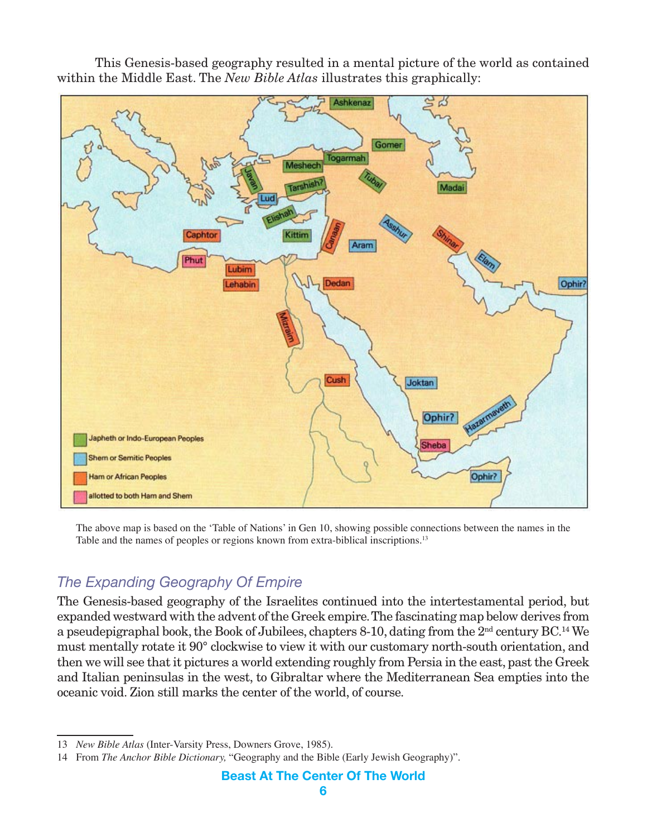This Genesis-based geography resulted in a mental picture of the world as contained within the Middle East. The *New Bible Atlas* illustrates this graphically:



The above map is based on the 'Table of Nations' in Gen 10, showing possible connections between the names in the Table and the names of peoples or regions known from extra-biblical inscriptions.<sup>13</sup>

## *The Expanding Geography Of Empire*

The Genesis-based geography of the Israelites continued into the intertestamental period, but expanded westward with the advent of the Greek empire. The fascinating map below derives from a pseudepigraphal book, the Book of Jubilees, chapters 8-10, dating from the  $2<sup>nd</sup>$  century BC.<sup>14</sup> We must mentally rotate it 90° clockwise to view it with our customary north-south orientation, and then we will see that it pictures a world extending roughly from Persia in the east, past the Greek and Italian peninsulas in the west, to Gibraltar where the Mediterranean Sea empties into the oceanic void. Zion still marks the center of the world, of course.

<sup>13</sup> *New Bible Atlas* (Inter-Varsity Press, Downers Grove, 1985).

<sup>14</sup> From *The Anchor Bible Dictionary,* "Geography and the Bible (Early Jewish Geography)".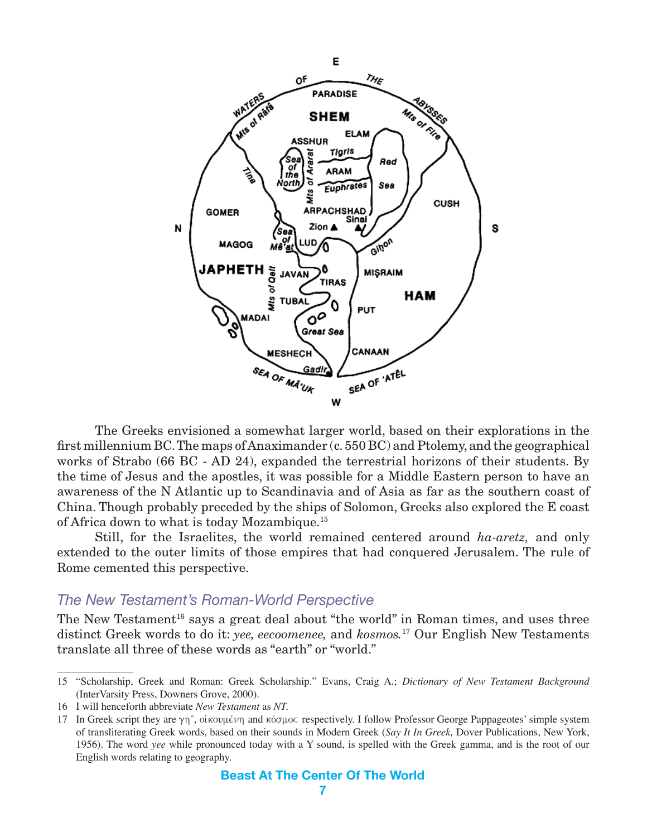

The Greeks envisioned a somewhat larger world, based on their explorations in the first millennium BC. The maps of Anaximander (c. 550 BC) and Ptolemy, and the geographical works of Strabo (66 BC - AD 24), expanded the terrestrial horizons of their students. By the time of Jesus and the apostles, it was possible for a Middle Eastern person to have an awareness of the N Atlantic up to Scandinavia and of Asia as far as the southern coast of China. Though probably preceded by the ships of Solomon, Greeks also explored the E coast of Africa down to what is today Mozambique.15

Still, for the Israelites, the world remained centered around *ha-aretz,* and only extended to the outer limits of those empires that had conquered Jerusalem. The rule of Rome cemented this perspective.

#### *The New Testament's Roman-World Perspective*

The New Testament<sup>16</sup> says a great deal about "the world" in Roman times, and uses three distinct Greek words to do it: *yee, eecoomenee,* and *kosmos.*<sup>17</sup> Our English New Testaments translate all three of these words as "earth" or "world."

<sup>15</sup> "Scholarship, Greek and Roman: Greek Scholarship." Evans, Craig A.; *Dictionary of New Testament Background* (InterVarsity Press, Downers Grove, 2000).

<sup>16</sup> I will henceforth abbreviate *New Testament* as *NT.*

<sup>17</sup> In Greek script they are  $\gamma \eta$ ", oikov $\mu \in \gamma \eta$  and kovalog respectively. I follow Professor George Pappageotes' simple system of transliterating Greek words, based on their sounds in Modern Greek (*Say It In Greek,* Dover Publications, New York, 1956). The word *yee* while pronounced today with a Y sound, is spelled with the Greek gamma, and is the root of our English words relating to geography.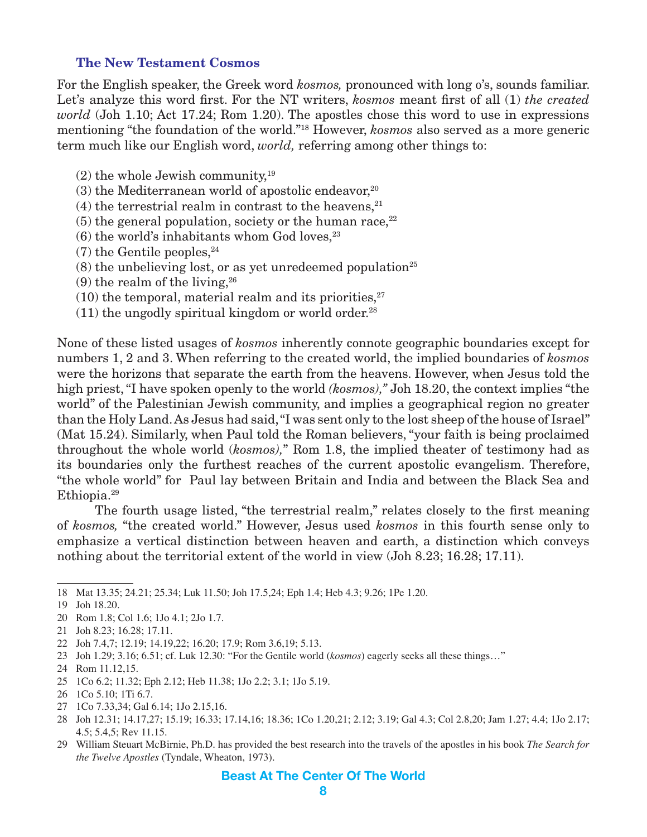#### <span id="page-7-0"></span>**The New Testament Cosmos**

For the English speaker, the Greek word *kosmos,* pronounced with long o's, sounds familiar. Let's analyze this word first. For the NT writers, *kosmos* meant first of all (1) *the created world* (Joh 1.10; Act 17.24; Rom 1.20). The apostles chose this word to use in expressions mentioning "the foundation of the world."18 However, *kosmos* also served as a more generic term much like our English word, *world,* referring among other things to:

- $(2)$  the whole Jewish community,<sup>19</sup>
- $(3)$  the Mediterranean world of apostolic endeavor,<sup>20</sup>
- (4) the terrestrial realm in contrast to the heavens, $21$
- $(5)$  the general population, society or the human race,  $22$
- $(6)$  the world's inhabitants whom God loves,  $23$
- $(7)$  the Gentile peoples,  $24$
- $(8)$  the unbelieving lost, or as yet unredeemed population<sup>25</sup>
- $(9)$  the realm of the living,  $26$
- $(10)$  the temporal, material realm and its priorities.<sup>27</sup>
- $(11)$  the ungodly spiritual kingdom or world order.<sup>28</sup>

None of these listed usages of *kosmos* inherently connote geographic boundaries except for numbers 1, 2 and 3. When referring to the created world, the implied boundaries of *kosmos* were the horizons that separate the earth from the heavens. However, when Jesus told the high priest, "I have spoken openly to the world *(kosmos),"* Joh 18.20, the context implies "the world" of the Palestinian Jewish community, and implies a geographical region no greater than the Holy Land. As Jesus had said, "I was sent only to the lost sheep of the house of Israel" (Mat 15.24). Similarly, when Paul told the Roman believers, "your faith is being proclaimed throughout the whole world (*kosmos),*" Rom 1.8, the implied theater of testimony had as its boundaries only the furthest reaches of the current apostolic evangelism. Therefore, "the whole world" for Paul lay between Britain and India and between the Black Sea and Ethiopia.29

The fourth usage listed, "the terrestrial realm," relates closely to the first meaning of *kosmos,* "the created world." However, Jesus used *kosmos* in this fourth sense only to emphasize a vertical distinction between heaven and earth, a distinction which conveys nothing about the territorial extent of the world in view (Joh 8.23; 16.28; 17.11).

- 20 Rom 1.8; Col 1.6; 1Jo 4.1; 2Jo 1.7.
- 21 Joh 8.23; 16.28; 17.11.
- 22 Joh 7.4,7; 12.19; 14.19,22; 16.20; 17.9; Rom 3.6,19; 5.13.
- 23 Joh 1.29; 3.16; 6.51; cf. Luk 12.30: "For the Gentile world (*kosmos*) eagerly seeks all these things…"
- 24 Rom 11.12,15.
- 25 1Co 6.2; 11.32; Eph 2.12; Heb 11.38; 1Jo 2.2; 3.1; 1Jo 5.19.
- 26 1Co 5.10; 1Ti 6.7.
- 27 1Co 7.33,34; Gal 6.14; 1Jo 2.15,16.
- 28 Joh 12.31; 14.17,27; 15.19; 16.33; 17.14,16; 18.36; 1Co 1.20,21; 2.12; 3.19; Gal 4.3; Col 2.8,20; Jam 1.27; 4.4; 1Jo 2.17; 4.5; 5.4,5; Rev 11.15.
- 29 William Steuart McBirnie, Ph.D. has provided the best research into the travels of the apostles in his book *The Search for the Twelve Apostles* (Tyndale, Wheaton, 1973).

<sup>18</sup> Mat 13.35; 24.21; 25.34; Luk 11.50; Joh 17.5,24; Eph 1.4; Heb 4.3; 9.26; 1Pe 1.20.

<sup>19</sup> Joh 18.20.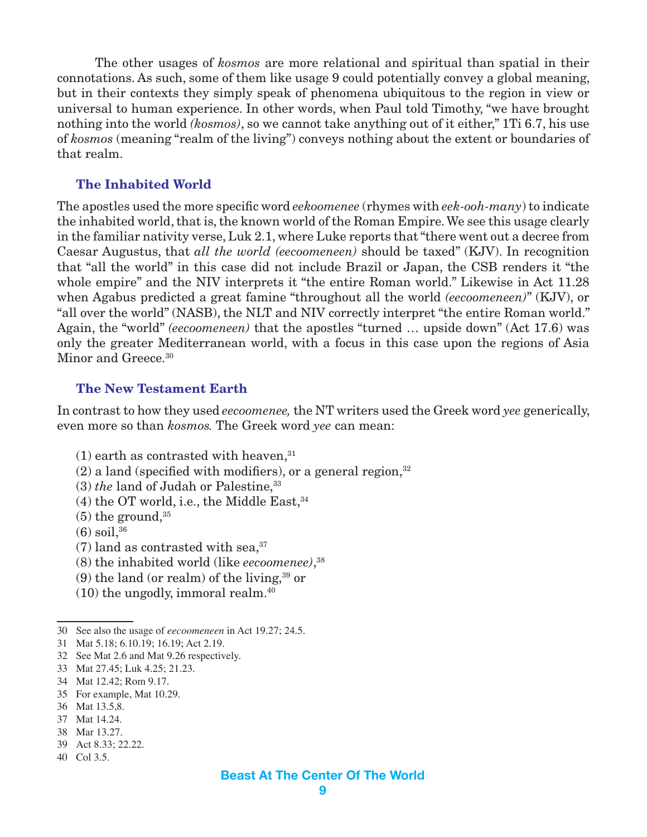The other usages of *kosmos* are more relational and spiritual than spatial in their connotations. As such, some of them like usage 9 could potentially convey a global meaning, but in their contexts they simply speak of phenomena ubiquitous to the region in view or universal to human experience. In other words, when Paul told Timothy, "we have brought nothing into the world *(kosmos)*, so we cannot take anything out of it either," 1Ti 6.7, his use of *kosmos* (meaning "realm of the living") conveys nothing about the extent or boundaries of that realm.

#### **The Inhabited World**

The apostles used the more specific word *eekoomenee* (rhymes with *eek-ooh-many*) to indicate the inhabited world, that is, the known world of the Roman Empire. We see this usage clearly in the familiar nativity verse, Luk 2.1, where Luke reports that "there went out a decree from Caesar Augustus, that *all the world (eecoomeneen)* should be taxed" (KJV). In recognition that "all the world" in this case did not include Brazil or Japan, the CSB renders it "the whole empire" and the NIV interprets it "the entire Roman world." Likewise in Act 11.28 when Agabus predicted a great famine "throughout all the world *(eecoomeneen)*" (KJV), or "all over the world" (NASB), the NLT and NIV correctly interpret "the entire Roman world." Again, the "world" *(eecoomeneen)* that the apostles "turned … upside down" (Act 17.6) was only the greater Mediterranean world, with a focus in this case upon the regions of Asia Minor and Greece.<sup>30</sup>

#### **The New Testament Earth**

In contrast to how they used *eecoomenee,* the NT writers used the Greek word *yee* generically, even more so than *kosmos.* The Greek word *yee* can mean:

- $(1)$  earth as contrasted with heaven,  $31$
- $(2)$  a land (specified with modifiers), or a general region,  $32$
- (3) *the* land of Judah or Palestine,<sup>33</sup>
- $(4)$  the OT world, i.e., the Middle East,  $34$
- $(5)$  the ground,  $35$
- $(6)$  soil,  $36$
- $(7)$  land as contrasted with sea,<sup>37</sup>
- (8) the inhabited world (like *eecoomenee)*, 38
- (9) the land (or realm) of the living, $39$  or
- $(10)$  the ungodly, immoral realm.<sup>40</sup>

- 31 Mat 5.18; 6.10.19; 16.19; Act 2.19.
- 32 See Mat 2.6 and Mat 9.26 respectively.
- 33 Mat 27.45; Luk 4.25; 21.23.
- 34 Mat 12.42; Rom 9.17.
- 35 For example, Mat 10.29.
- 36 Mat 13.5,8.
- 37 Mat 14.24.
- 38 Mar 13.27.
- 39 Act 8.33; 22.22.
- 40 Col 3.5.

<sup>30</sup> See also the usage of *eecoomeneen* in Act 19.27; 24.5.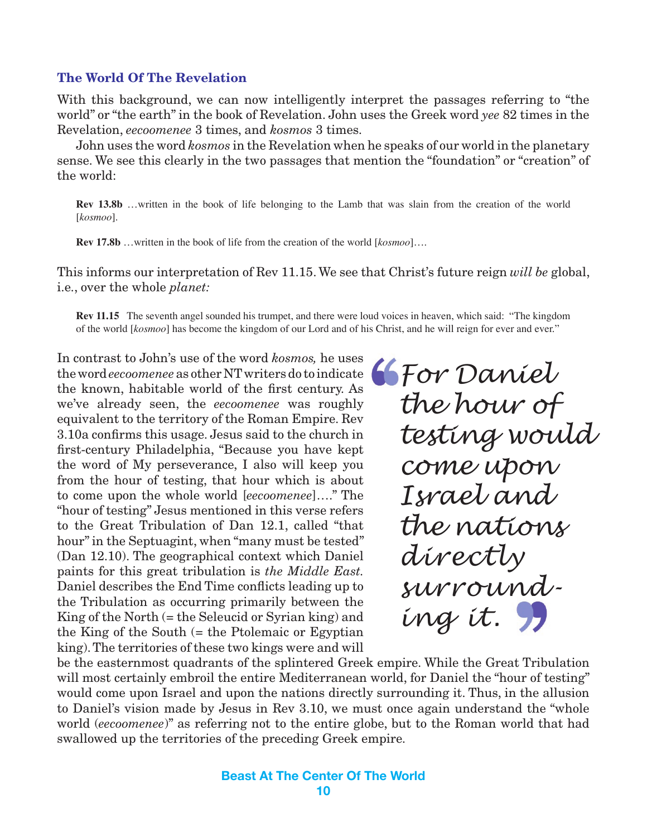#### <span id="page-9-0"></span>**The World Of The Revelation**

With this background, we can now intelligently interpret the passages referring to "the world" or "the earth" in the book of Revelation. John uses the Greek word *yee* 82 times in the Revelation, *eecoomenee* 3 times, and *kosmos* 3 times.

John uses the word *kosmos* in the Revelation when he speaks of our world in the planetary sense. We see this clearly in the two passages that mention the "foundation" or "creation" of the world:

**Rev 13.8b** …written in the book of life belonging to the Lamb that was slain from the creation of the world [*kosmoo*].

**Rev 17.8b** …written in the book of life from the creation of the world [*kosmoo*]….

This informs our interpretation of Rev 11.15. We see that Christ's future reign *will be* global, i.e., over the whole *planet:*

**Rev 11.15** The seventh angel sounded his trumpet, and there were loud voices in heaven, which said: "The kingdom of the world [*kosmoo*] has become the kingdom of our Lord and of his Christ, and he will reign for ever and ever."

In contrast to John's use of the word *kosmos,* he uses the word *eecoomenee* as other NT writers do to indicate the known, habitable world of the first century. As we've already seen, the *eecoomenee* was roughly equivalent to the territory of the Roman Empire. Rev 3.10a confirms this usage. Jesus said to the church in first-century Philadelphia, "Because you have kept the word of My perseverance, I also will keep you from the hour of testing, that hour which is about to come upon the whole world [*eecoomenee*]…." The "hour of testing" Jesus mentioned in this verse refers to the Great Tribulation of Dan 12.1, called "that hour" in the Septuagint, when "many must be tested" (Dan 12.10). The geographical context which Daniel paints for this great tribulation is *the Middle East.*  Daniel describes the End Time conflicts leading up to the Tribulation as occurring primarily between the King of the North (= the Seleucid or Syrian king) and the King of the South (= the Ptolemaic or Egyptian king). The territories of these two kings were and will

*For Daniel the hour of testing would come upon Israel and the nations directly surrounding it.*

be the easternmost quadrants of the splintered Greek empire. While the Great Tribulation will most certainly embroil the entire Mediterranean world, for Daniel the "hour of testing" would come upon Israel and upon the nations directly surrounding it. Thus, in the allusion to Daniel's vision made by Jesus in Rev 3.10, we must once again understand the "whole world (*eecoomenee*)" as referring not to the entire globe, but to the Roman world that had swallowed up the territories of the preceding Greek empire.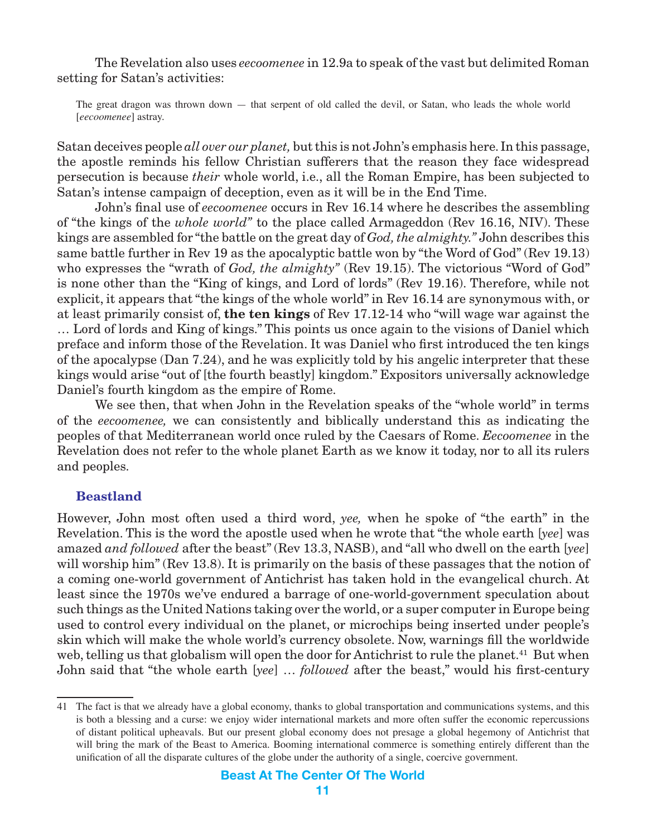<span id="page-10-0"></span>The Revelation also uses *eecoomenee* in 12.9a to speak of the vast but delimited Roman setting for Satan's activities:

The great dragon was thrown down — that serpent of old called the devil, or Satan, who leads the whole world [*eecoomenee*] astray.

Satan deceives people *all over our planet,* but this is not John's emphasis here. In this passage, the apostle reminds his fellow Christian sufferers that the reason they face widespread persecution is because *their* whole world, i.e., all the Roman Empire, has been subjected to Satan's intense campaign of deception, even as it will be in the End Time.

John's final use of *eecoomenee* occurs in Rev 16.14 where he describes the assembling of "the kings of the *whole world"* to the place called Armageddon (Rev 16.16, NIV). These kings are assembled for "the battle on the great day of *God, the almighty."* John describes this same battle further in Rev 19 as the apocalyptic battle won by "the Word of God" (Rev 19.13) who expresses the "wrath of *God, the almighty"* (Rev 19.15). The victorious "Word of God" is none other than the "King of kings, and Lord of lords" (Rev 19.16). Therefore, while not explicit, it appears that "the kings of the whole world" in Rev 16.14 are synonymous with, or at least primarily consist of, **the ten kings** of Rev 17.12-14 who "will wage war against the … Lord of lords and King of kings." This points us once again to the visions of Daniel which preface and inform those of the Revelation. It was Daniel who first introduced the ten kings of the apocalypse (Dan 7.24), and he was explicitly told by his angelic interpreter that these kings would arise "out of [the fourth beastly] kingdom." Expositors universally acknowledge Daniel's fourth kingdom as the empire of Rome.

We see then, that when John in the Revelation speaks of the "whole world" in terms of the *eecoomenee,* we can consistently and biblically understand this as indicating the peoples of that Mediterranean world once ruled by the Caesars of Rome. *Eecoomenee* in the Revelation does not refer to the whole planet Earth as we know it today, nor to all its rulers and peoples.

#### **Beastland**

However, John most often used a third word, *yee,* when he spoke of "the earth" in the Revelation. This is the word the apostle used when he wrote that "the whole earth [*yee*] was amazed *and followed* after the beast" (Rev 13.3, NASB), and "all who dwell on the earth [*yee*] will worship him" (Rev 13.8). It is primarily on the basis of these passages that the notion of a coming one-world government of Antichrist has taken hold in the evangelical church. At least since the 1970s we've endured a barrage of one-world-government speculation about such things as the United Nations taking over the world, or a super computer in Europe being used to control every individual on the planet, or microchips being inserted under people's skin which will make the whole world's currency obsolete. Now, warnings fill the worldwide web, telling us that globalism will open the door for Antichrist to rule the planet.<sup>41</sup> But when John said that "the whole earth [*yee*] … *followed* after the beast," would his first-century

<sup>41</sup> The fact is that we already have a global economy, thanks to global transportation and communications systems, and this is both a blessing and a curse: we enjoy wider international markets and more often suffer the economic repercussions of distant political upheavals. But our present global economy does not presage a global hegemony of Antichrist that will bring the mark of the Beast to America. Booming international commerce is something entirely different than the unification of all the disparate cultures of the globe under the authority of a single, coercive government.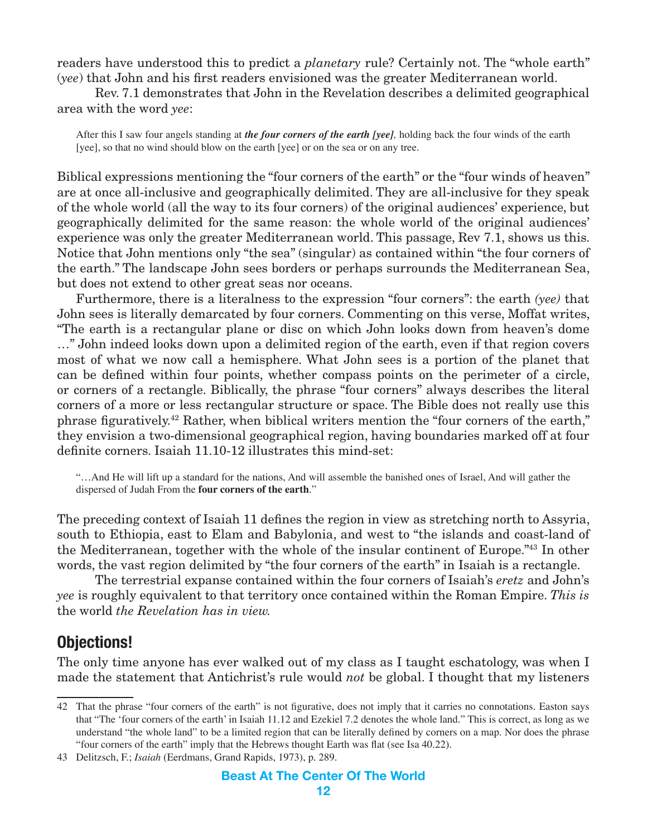<span id="page-11-0"></span>readers have understood this to predict a *planetary* rule? Certainly not. The "whole earth" (*yee*) that John and his first readers envisioned was the greater Mediterranean world.

Rev. 7.1 demonstrates that John in the Revelation describes a delimited geographical area with the word *yee*:

After this I saw four angels standing at *the four corners of the earth [yee],* holding back the four winds of the earth [yee], so that no wind should blow on the earth [yee] or on the sea or on any tree.

Biblical expressions mentioning the "four corners of the earth" or the "four winds of heaven" are at once all-inclusive and geographically delimited. They are all-inclusive for they speak of the whole world (all the way to its four corners) of the original audiences' experience, but geographically delimited for the same reason: the whole world of the original audiences' experience was only the greater Mediterranean world. This passage, Rev 7.1, shows us this. Notice that John mentions only "the sea" (singular) as contained within "the four corners of the earth." The landscape John sees borders or perhaps surrounds the Mediterranean Sea, but does not extend to other great seas nor oceans.

Furthermore, there is a literalness to the expression "four corners": the earth *(yee)* that John sees is literally demarcated by four corners. Commenting on this verse, Moffat writes, "The earth is a rectangular plane or disc on which John looks down from heaven's dome …" John indeed looks down upon a delimited region of the earth, even if that region covers most of what we now call a hemisphere. What John sees is a portion of the planet that can be defined within four points, whether compass points on the perimeter of a circle, or corners of a rectangle. Biblically, the phrase "four corners" always describes the literal corners of a more or less rectangular structure or space. The Bible does not really use this phrase figuratively.42 Rather, when biblical writers mention the "four corners of the earth," they envision a two-dimensional geographical region, having boundaries marked off at four definite corners. Isaiah 11.10-12 illustrates this mind-set:

"…And He will lift up a standard for the nations, And will assemble the banished ones of Israel, And will gather the dispersed of Judah From the **four corners of the earth**."

The preceding context of Isaiah 11 defines the region in view as stretching north to Assyria, south to Ethiopia, east to Elam and Babylonia, and west to "the islands and coast-land of the Mediterranean, together with the whole of the insular continent of Europe."43 In other words, the vast region delimited by "the four corners of the earth" in Isaiah is a rectangle.

The terrestrial expanse contained within the four corners of Isaiah's *eretz* and John's *yee* is roughly equivalent to that territory once contained within the Roman Empire. *This is* the world *the Revelation has in view.*

## **Objections!**

The only time anyone has ever walked out of my class as I taught eschatology, was when I made the statement that Antichrist's rule would *not* be global. I thought that my listeners

<sup>42</sup> That the phrase "four corners of the earth" is not figurative, does not imply that it carries no connotations. Easton says that "The 'four corners of the earth' in Isaiah 11.12 and Ezekiel 7.2 denotes the whole land." This is correct, as long as we understand "the whole land" to be a limited region that can be literally defined by corners on a map. Nor does the phrase "four corners of the earth" imply that the Hebrews thought Earth was flat (see Isa 40.22).

<sup>43</sup> Delitzsch, F.; *Isaiah* (Eerdmans, Grand Rapids, 1973), p. 289.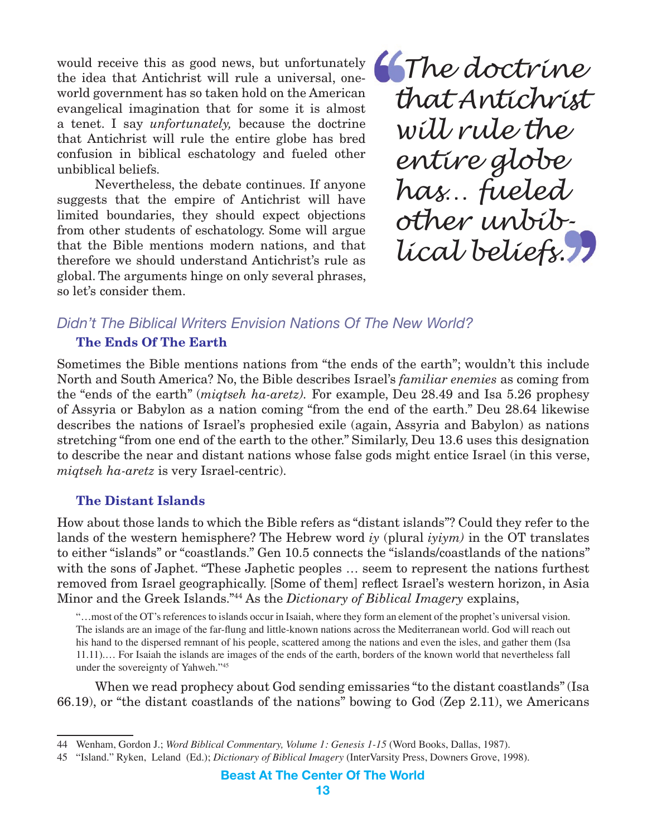would receive this as good news, but unfortunately the idea that Antichrist will rule a universal, oneworld government has so taken hold on the American evangelical imagination that for some it is almost a tenet. I say *unfortunately,* because the doctrine that Antichrist will rule the entire globe has bred confusion in biblical eschatology and fueled other unbiblical beliefs.

Nevertheless, the debate continues. If anyone suggests that the empire of Antichrist will have limited boundaries, they should expect objections from other students of eschatology. Some will argue that the Bible mentions modern nations, and that therefore we should understand Antichrist's rule as global. The arguments hinge on only several phrases, so let's consider them.

 *The doctrine that Antichrist will rule the entire globe has… fueled other unbiblical beliefs.*

#### *Didn't The Biblical Writers Envision Nations Of The New World?*

#### **The Ends Of The Earth**

Sometimes the Bible mentions nations from "the ends of the earth"; wouldn't this include North and South America? No, the Bible describes Israel's *familiar enemies* as coming from the "ends of the earth" (*miqtseh ha-aretz).* For example, Deu 28.49 and Isa 5.26 prophesy of Assyria or Babylon as a nation coming "from the end of the earth." Deu 28.64 likewise describes the nations of Israel's prophesied exile (again, Assyria and Babylon) as nations stretching "from one end of the earth to the other." Similarly, Deu 13.6 uses this designation to describe the near and distant nations whose false gods might entice Israel (in this verse, *miqtseh ha-aretz* is very Israel-centric).

#### **The Distant Islands**

How about those lands to which the Bible refers as "distant islands"? Could they refer to the lands of the western hemisphere? The Hebrew word *iy* (plural *iyiym)* in the OT translates to either "islands" or "coastlands." Gen 10.5 connects the "islands/coastlands of the nations" with the sons of Japhet. "These Japhetic peoples … seem to represent the nations furthest removed from Israel geographically. [Some of them] reflect Israel's western horizon, in Asia Minor and the Greek Islands."44 As the *Dictionary of Biblical Imagery* explains,

"…most of the OT's references to islands occur in Isaiah, where they form an element of the prophet's universal vision. The islands are an image of the far-flung and little-known nations across the Mediterranean world. God will reach out his hand to the dispersed remnant of his people, scattered among the nations and even the isles, and gather them (Isa 11.11).… For Isaiah the islands are images of the ends of the earth, borders of the known world that nevertheless fall under the sovereignty of Yahweh."45

When we read prophecy about God sending emissaries "to the distant coastlands" (Isa 66.19), or "the distant coastlands of the nations" bowing to God (Zep 2.11), we Americans

<sup>44</sup> Wenham, Gordon J.; *Word Biblical Commentary, Volume 1: Genesis 1-15* (Word Books, Dallas, 1987).

<sup>45</sup> "Island." Ryken, Leland (Ed.); *Dictionary of Biblical Imagery* (InterVarsity Press, Downers Grove, 1998).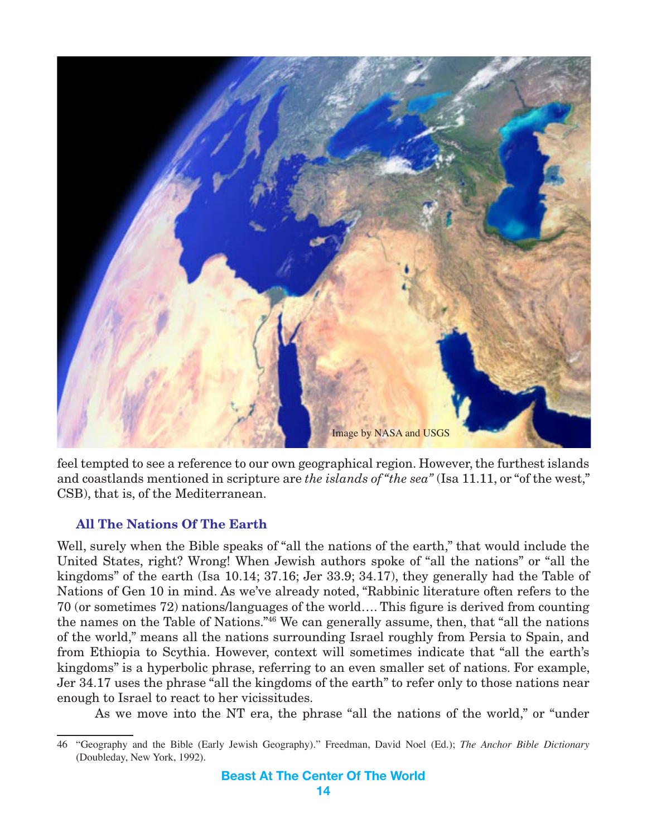

feel tempted to see a reference to our own geographical region. However, the furthest islands and coastlands mentioned in scripture are *the islands of "the sea"* (Isa 11.11, or "of the west," CSB), that is, of the Mediterranean.

#### **All The Nations Of The Earth**

Well, surely when the Bible speaks of "all the nations of the earth," that would include the United States, right? Wrong! When Jewish authors spoke of "all the nations" or "all the kingdoms" of the earth (Isa 10.14; 37.16; Jer 33.9; 34.17), they generally had the Table of Nations of Gen 10 in mind. As we've already noted, "Rabbinic literature often refers to the 70 (or sometimes 72) nations/languages of the world…. This figure is derived from counting the names on the Table of Nations."46 We can generally assume, then, that "all the nations of the world," means all the nations surrounding Israel roughly from Persia to Spain, and from Ethiopia to Scythia. However, context will sometimes indicate that "all the earth's kingdoms" is a hyperbolic phrase, referring to an even smaller set of nations. For example, Jer 34.17 uses the phrase "all the kingdoms of the earth" to refer only to those nations near enough to Israel to react to her vicissitudes.

As we move into the NT era, the phrase "all the nations of the world," or "under

<sup>46</sup> "Geography and the Bible (Early Jewish Geography)." Freedman, David Noel (Ed.); *The Anchor Bible Dictionary* (Doubleday, New York, 1992).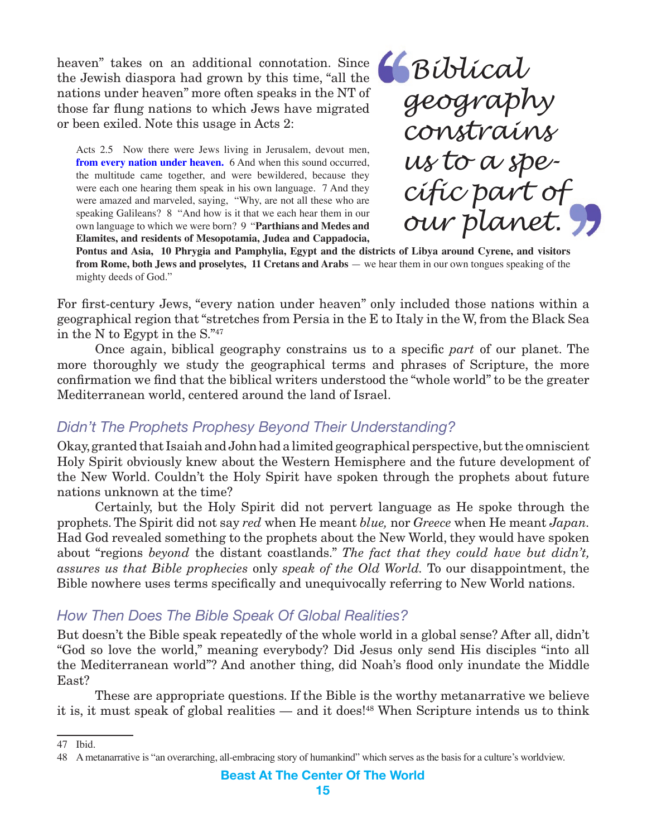heaven" takes on an additional connotation. Since the Jewish diaspora had grown by this time, "all the nations under heaven" more often speaks in the NT of those far flung nations to which Jews have migrated or been exiled. Note this usage in Acts 2:

Acts 2.5 Now there were Jews living in Jerusalem, devout men, **from every nation under heaven.** 6 And when this sound occurred, the multitude came together, and were bewildered, because they were each one hearing them speak in his own language. 7 And they were amazed and marveled, saying, "Why, are not all these who are speaking Galileans? 8 "And how is it that we each hear them in our own language to which we were born? 9 "**Parthians and Medes and Elamites, and residents of Mesopotamia, Judea and Cappadocia,** 

 *Biblical geography constrains us to a specific part of our planet.*

**Pontus and Asia, 10 Phrygia and Pamphylia, Egypt and the districts of Libya around Cyrene, and visitors from Rome, both Jews and proselytes, 11 Cretans and Arabs** — we hear them in our own tongues speaking of the mighty deeds of God."

For first-century Jews, "every nation under heaven" only included those nations within a geographical region that "stretches from Persia in the E to Italy in the W, from the Black Sea in the N to Egypt in the S."47

Once again, biblical geography constrains us to a specific *part* of our planet. The more thoroughly we study the geographical terms and phrases of Scripture, the more confirmation we find that the biblical writers understood the "whole world" to be the greater Mediterranean world, centered around the land of Israel.

## *Didn't The Prophets Prophesy Beyond Their Understanding?*

Okay, granted that Isaiah and John had a limited geographical perspective, but the omniscient Holy Spirit obviously knew about the Western Hemisphere and the future development of the New World. Couldn't the Holy Spirit have spoken through the prophets about future nations unknown at the time?

Certainly, but the Holy Spirit did not pervert language as He spoke through the prophets. The Spirit did not say *red* when He meant *blue,* nor *Greece* when He meant *Japan.*  Had God revealed something to the prophets about the New World, they would have spoken about "regions *beyond* the distant coastlands." *The fact that they could have but didn't, assures us that Bible prophecies* only *speak of the Old World.* To our disappointment, the Bible nowhere uses terms specifically and unequivocally referring to New World nations.

## *How Then Does The Bible Speak Of Global Realities?*

But doesn't the Bible speak repeatedly of the whole world in a global sense? After all, didn't "God so love the world," meaning everybody? Did Jesus only send His disciples "into all the Mediterranean world"? And another thing, did Noah's flood only inundate the Middle East?

These are appropriate questions. If the Bible is the worthy metanarrative we believe it is, it must speak of global realities — and it does!<sup>48</sup> When Scripture intends us to think

47 Ibid.

<sup>48</sup> A metanarrative is "an overarching, all-embracing story of humankind" which serves as the basis for a culture's worldview.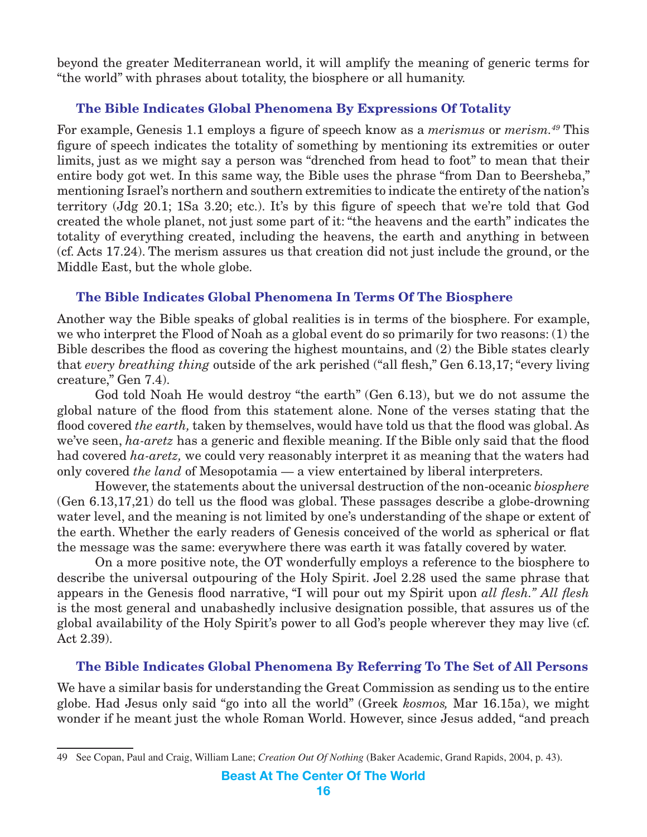beyond the greater Mediterranean world, it will amplify the meaning of generic terms for "the world" with phrases about totality, the biosphere or all humanity.

#### **The Bible Indicates Global Phenomena By Expressions Of Totality**

For example, Genesis 1.1 employs a figure of speech know as a *merismus* or *merism.49* This figure of speech indicates the totality of something by mentioning its extremities or outer limits, just as we might say a person was "drenched from head to foot" to mean that their entire body got wet. In this same way, the Bible uses the phrase "from Dan to Beersheba," mentioning Israel's northern and southern extremities to indicate the entirety of the nation's territory (Jdg 20.1; 1Sa 3.20; etc.). It's by this figure of speech that we're told that God created the whole planet, not just some part of it: "the heavens and the earth" indicates the totality of everything created, including the heavens, the earth and anything in between (cf. Acts 17.24). The merism assures us that creation did not just include the ground, or the Middle East, but the whole globe.

#### **The Bible Indicates Global Phenomena In Terms Of The Biosphere**

Another way the Bible speaks of global realities is in terms of the biosphere. For example, we who interpret the Flood of Noah as a global event do so primarily for two reasons: (1) the Bible describes the flood as covering the highest mountains, and (2) the Bible states clearly that *every breathing thing* outside of the ark perished ("all flesh," Gen 6.13,17; "every living creature," Gen 7.4).

God told Noah He would destroy "the earth" (Gen 6.13), but we do not assume the global nature of the flood from this statement alone. None of the verses stating that the flood covered *the earth,* taken by themselves, would have told us that the flood was global. As we've seen, *ha-aretz* has a generic and flexible meaning. If the Bible only said that the flood had covered *ha-aretz,* we could very reasonably interpret it as meaning that the waters had only covered *the land* of Mesopotamia — a view entertained by liberal interpreters.

However, the statements about the universal destruction of the non-oceanic *biosphere* (Gen 6.13,17,21) do tell us the flood was global. These passages describe a globe-drowning water level, and the meaning is not limited by one's understanding of the shape or extent of the earth. Whether the early readers of Genesis conceived of the world as spherical or flat the message was the same: everywhere there was earth it was fatally covered by water.

On a more positive note, the OT wonderfully employs a reference to the biosphere to describe the universal outpouring of the Holy Spirit. Joel 2.28 used the same phrase that appears in the Genesis flood narrative, "I will pour out my Spirit upon *all flesh." All flesh*  is the most general and unabashedly inclusive designation possible, that assures us of the global availability of the Holy Spirit's power to all God's people wherever they may live (cf. Act 2.39).

#### **The Bible Indicates Global Phenomena By Referring To The Set of All Persons**

We have a similar basis for understanding the Great Commission as sending us to the entire globe. Had Jesus only said "go into all the world" (Greek *kosmos,* Mar 16.15a), we might wonder if he meant just the whole Roman World. However, since Jesus added, "and preach

<sup>49</sup> See Copan, Paul and Craig, William Lane; *Creation Out Of Nothing* (Baker Academic, Grand Rapids, 2004, p. 43).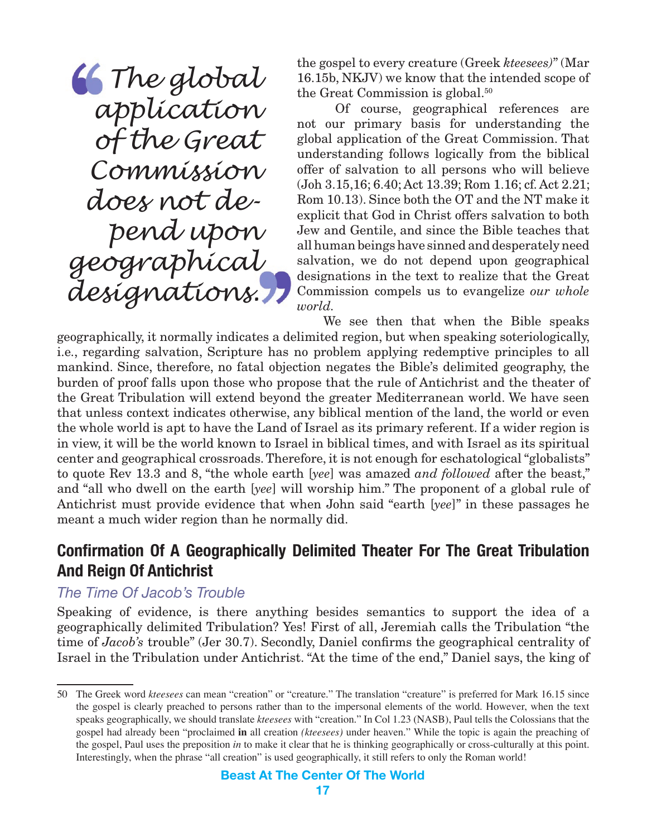<span id="page-16-0"></span> *The global application of the Great Commission does not depend upon geographical designations.*

the gospel to every creature (Greek *kteesees)*" (Mar 16.15b, NKJV) we know that the intended scope of the Great Commission is global.<sup>50</sup>

Of course, geographical references are not our primary basis for understanding the global application of the Great Commission. That understanding follows logically from the biblical offer of salvation to all persons who will believe (Joh 3.15,16; 6.40; Act 13.39; Rom 1.16; cf. Act 2.21; Rom 10.13). Since both the OT and the NT make it explicit that God in Christ offers salvation to both Jew and Gentile, and since the Bible teaches that all human beings have sinned and desperately need salvation, we do not depend upon geographical designations in the text to realize that the Great Commission compels us to evangelize *our whole world.*

We see then that when the Bible speaks geographically, it normally indicates a delimited region, but when speaking soteriologically, i.e., regarding salvation, Scripture has no problem applying redemptive principles to all mankind. Since, therefore, no fatal objection negates the Bible's delimited geography, the burden of proof falls upon those who propose that the rule of Antichrist and the theater of the Great Tribulation will extend beyond the greater Mediterranean world. We have seen that unless context indicates otherwise, any biblical mention of the land, the world or even the whole world is apt to have the Land of Israel as its primary referent. If a wider region is in view, it will be the world known to Israel in biblical times, and with Israel as its spiritual center and geographical crossroads. Therefore, it is not enough for eschatological "globalists" to quote Rev 13.3 and 8, "the whole earth [*yee*] was amazed *and followed* after the beast," and "all who dwell on the earth [*yee*] will worship him." The proponent of a global rule of Antichrist must provide evidence that when John said "earth [*yee*]" in these passages he meant a much wider region than he normally did.

## **Confirmation Of A Geographically Delimited Theater For The Great Tribulation And Reign Of Antichrist**

## *The Time Of Jacob's Trouble*

Speaking of evidence, is there anything besides semantics to support the idea of a geographically delimited Tribulation? Yes! First of all, Jeremiah calls the Tribulation "the time of *Jacob's* trouble" (Jer 30.7). Secondly, Daniel confirms the geographical centrality of Israel in the Tribulation under Antichrist. "At the time of the end," Daniel says, the king of

<sup>50</sup> The Greek word *kteesees* can mean "creation" or "creature." The translation "creature" is preferred for Mark 16.15 since the gospel is clearly preached to persons rather than to the impersonal elements of the world. However, when the text speaks geographically, we should translate *kteesees* with "creation." In Col 1.23 (NASB), Paul tells the Colossians that the gospel had already been "proclaimed **in** all creation *(kteesees)* under heaven." While the topic is again the preaching of the gospel, Paul uses the preposition *in* to make it clear that he is thinking geographically or cross-culturally at this point. Interestingly, when the phrase "all creation" is used geographically, it still refers to only the Roman world!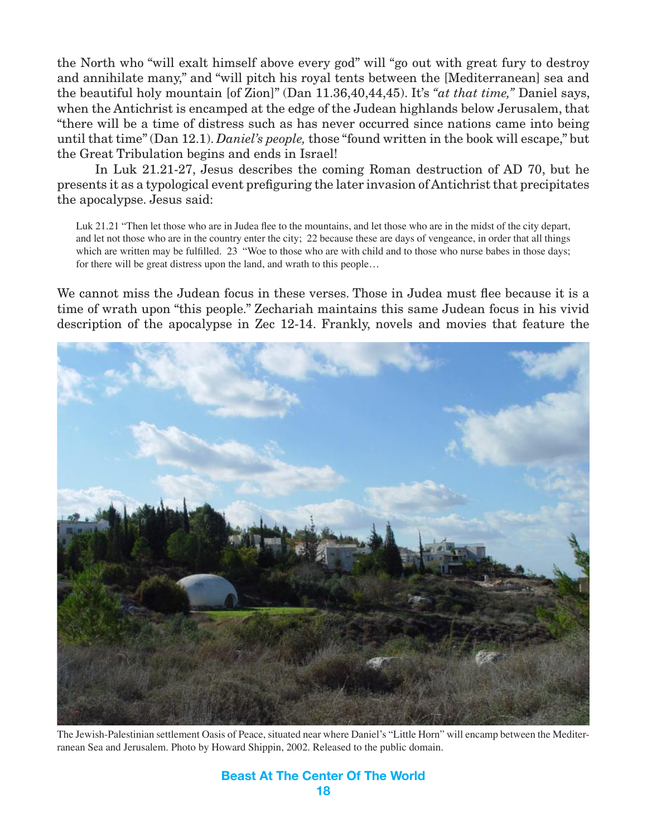the North who "will exalt himself above every god" will "go out with great fury to destroy and annihilate many," and "will pitch his royal tents between the [Mediterranean] sea and the beautiful holy mountain [of Zion]" (Dan 11.36,40,44,45). It's *"at that time,"* Daniel says, when the Antichrist is encamped at the edge of the Judean highlands below Jerusalem, that "there will be a time of distress such as has never occurred since nations came into being until that time" (Dan 12.1). *Daniel's people,* those "found written in the book will escape," but the Great Tribulation begins and ends in Israel!

In Luk 21.21-27, Jesus describes the coming Roman destruction of AD 70, but he presents it as a typological event prefiguring the later invasion of Antichrist that precipitates the apocalypse. Jesus said:

Luk 21.21 "Then let those who are in Judea flee to the mountains, and let those who are in the midst of the city depart, and let not those who are in the country enter the city; 22 because these are days of vengeance, in order that all things which are written may be fulfilled. 23 "Woe to those who are with child and to those who nurse babes in those days; for there will be great distress upon the land, and wrath to this people…

We cannot miss the Judean focus in these verses. Those in Judea must flee because it is a time of wrath upon "this people." Zechariah maintains this same Judean focus in his vivid description of the apocalypse in Zec 12-14. Frankly, novels and movies that feature the



The Jewish-Palestinian settlement Oasis of Peace, situated near where Daniel's "Little Horn" will encamp between the Mediterranean Sea and Jerusalem. Photo by Howard Shippin, 2002. Released to the public domain.

#### **Beast At The Center Of The World 18**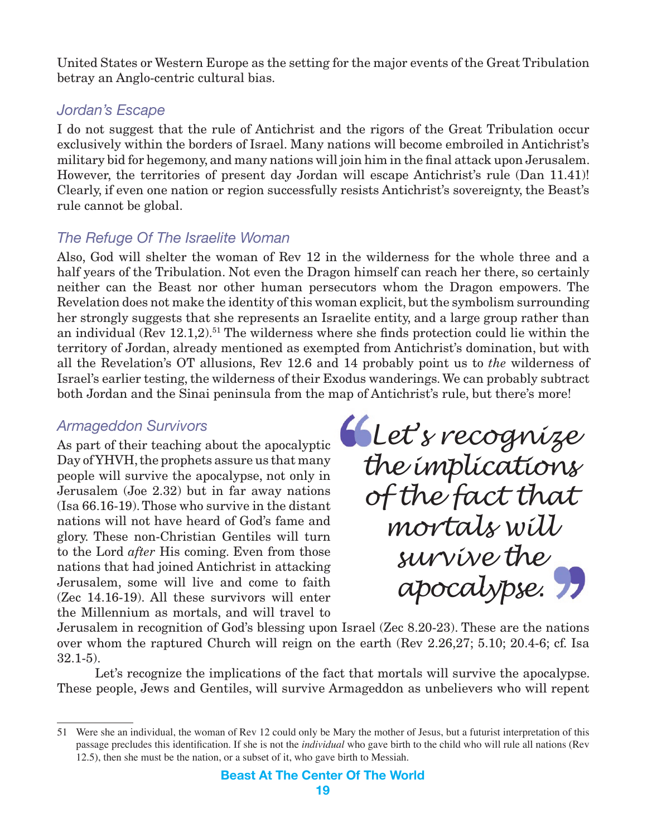<span id="page-18-0"></span>United States or Western Europe as the setting for the major events of the Great Tribulation betray an Anglo-centric cultural bias.

#### *Jordan's Escape*

I do not suggest that the rule of Antichrist and the rigors of the Great Tribulation occur exclusively within the borders of Israel. Many nations will become embroiled in Antichrist's military bid for hegemony, and many nations will join him in the final attack upon Jerusalem. However, the territories of present day Jordan will escape Antichrist's rule (Dan 11.41)! Clearly, if even one nation or region successfully resists Antichrist's sovereignty, the Beast's rule cannot be global.

## *The Refuge Of The Israelite Woman*

Also, God will shelter the woman of Rev 12 in the wilderness for the whole three and a half years of the Tribulation. Not even the Dragon himself can reach her there, so certainly neither can the Beast nor other human persecutors whom the Dragon empowers. The Revelation does not make the identity of this woman explicit, but the symbolism surrounding her strongly suggests that she represents an Israelite entity, and a large group rather than an individual (Rev  $12.1,2$ ).<sup>51</sup> The wilderness where she finds protection could lie within the territory of Jordan, already mentioned as exempted from Antichrist's domination, but with all the Revelation's OT allusions, Rev 12.6 and 14 probably point us to *the* wilderness of Israel's earlier testing, the wilderness of their Exodus wanderings. We can probably subtract both Jordan and the Sinai peninsula from the map of Antichrist's rule, but there's more!

## *Armageddon Survivors*

As part of their teaching about the apocalyptic Day of YHVH, the prophets assure us that many people will survive the apocalypse, not only in Jerusalem (Joe 2.32) but in far away nations (Isa 66.16-19). Those who survive in the distant nations will not have heard of God's fame and glory. These non-Christian Gentiles will turn to the Lord *after* His coming. Even from those nations that had joined Antichrist in attacking Jerusalem, some will live and come to faith (Zec 14.16-19). All these survivors will enter the Millennium as mortals, and will travel to

 *Let's recognize the implications of the fact that mortals will survive the apocalypse.*

Jerusalem in recognition of God's blessing upon Israel (Zec 8.20-23). These are the nations over whom the raptured Church will reign on the earth (Rev 2.26,27; 5.10; 20.4-6; cf. Isa 32.1-5).

Let's recognize the implications of the fact that mortals will survive the apocalypse. These people, Jews and Gentiles, will survive Armageddon as unbelievers who will repent

<sup>51</sup> Were she an individual, the woman of Rev 12 could only be Mary the mother of Jesus, but a futurist interpretation of this passage precludes this identification. If she is not the *individual* who gave birth to the child who will rule all nations (Rev 12.5), then she must be the nation, or a subset of it, who gave birth to Messiah.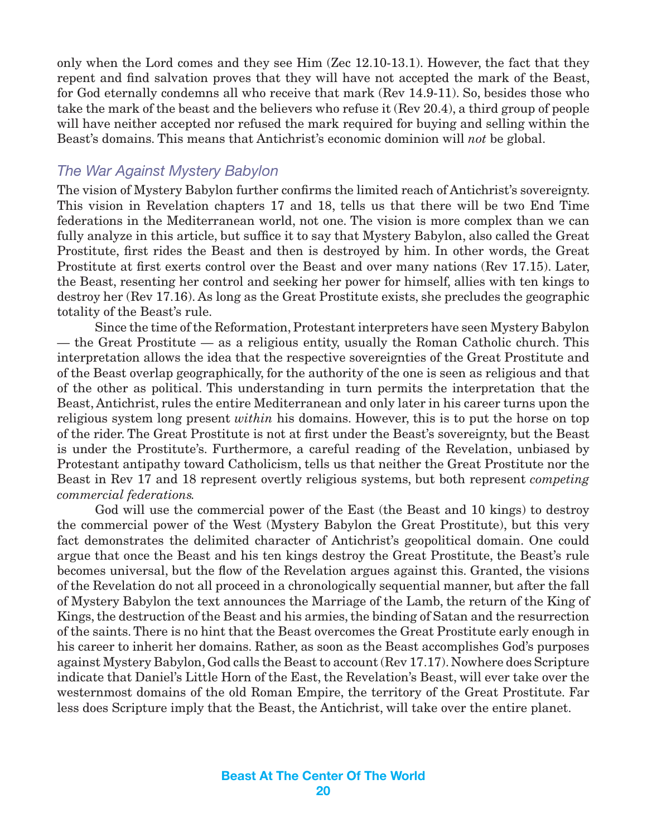<span id="page-19-0"></span>only when the Lord comes and they see Him (Zec 12.10-13.1). However, the fact that they repent and find salvation proves that they will have not accepted the mark of the Beast, for God eternally condemns all who receive that mark (Rev 14.9-11). So, besides those who take the mark of the beast and the believers who refuse it (Rev 20.4), a third group of people will have neither accepted nor refused the mark required for buying and selling within the Beast's domains. This means that Antichrist's economic dominion will *not* be global.

### *The War Against Mystery Babylon*

The vision of Mystery Babylon further confirms the limited reach of Antichrist's sovereignty. This vision in Revelation chapters 17 and 18, tells us that there will be two End Time federations in the Mediterranean world, not one. The vision is more complex than we can fully analyze in this article, but suffice it to say that Mystery Babylon, also called the Great Prostitute, first rides the Beast and then is destroyed by him. In other words, the Great Prostitute at first exerts control over the Beast and over many nations (Rev 17.15). Later, the Beast, resenting her control and seeking her power for himself, allies with ten kings to destroy her (Rev 17.16). As long as the Great Prostitute exists, she precludes the geographic totality of the Beast's rule.

Since the time of the Reformation, Protestant interpreters have seen Mystery Babylon — the Great Prostitute — as a religious entity, usually the Roman Catholic church. This interpretation allows the idea that the respective sovereignties of the Great Prostitute and of the Beast overlap geographically, for the authority of the one is seen as religious and that of the other as political. This understanding in turn permits the interpretation that the Beast, Antichrist, rules the entire Mediterranean and only later in his career turns upon the religious system long present *within* his domains. However, this is to put the horse on top of the rider. The Great Prostitute is not at first under the Beast's sovereignty, but the Beast is under the Prostitute's. Furthermore, a careful reading of the Revelation, unbiased by Protestant antipathy toward Catholicism, tells us that neither the Great Prostitute nor the Beast in Rev 17 and 18 represent overtly religious systems, but both represent *competing commercial federations.*

God will use the commercial power of the East (the Beast and 10 kings) to destroy the commercial power of the West (Mystery Babylon the Great Prostitute), but this very fact demonstrates the delimited character of Antichrist's geopolitical domain. One could argue that once the Beast and his ten kings destroy the Great Prostitute, the Beast's rule becomes universal, but the flow of the Revelation argues against this. Granted, the visions of the Revelation do not all proceed in a chronologically sequential manner, but after the fall of Mystery Babylon the text announces the Marriage of the Lamb, the return of the King of Kings, the destruction of the Beast and his armies, the binding of Satan and the resurrection of the saints. There is no hint that the Beast overcomes the Great Prostitute early enough in his career to inherit her domains. Rather, as soon as the Beast accomplishes God's purposes against Mystery Babylon, God calls the Beast to account (Rev 17.17). Nowhere does Scripture indicate that Daniel's Little Horn of the East, the Revelation's Beast, will ever take over the westernmost domains of the old Roman Empire, the territory of the Great Prostitute. Far less does Scripture imply that the Beast, the Antichrist, will take over the entire planet.